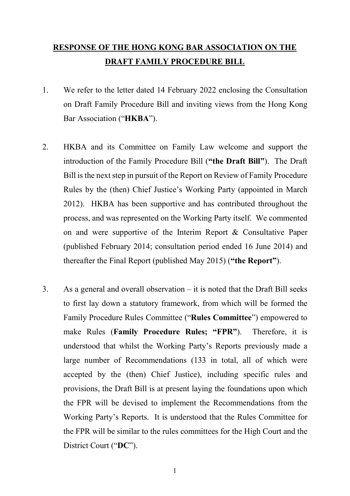## RESPONSE OF THE HONG KONG BAR ASSOCIATION ON THE DRAFT FAMILY PROCEDURE BILL

- 1. We refer to the letter dated 14 February 2022 enclosing the Consultation on Draft Family Procedure Bill and inviting views from the Hong Kong Bar Association ("HKBA").
- 2. HKBA and its Committee on Family Law welcome and support the introduction of the Family Procedure Bill ("the Draft Bill"). The Draft Bill is the next step in pursuit of the Report on Review of Family Procedure Rules by the (then) Chief Justice's Working Party (appointed in March 2012). HKBA has been supportive and has contributed throughout the process, and was represented on the Working Party itself. We commented on and were supportive of the Interim Report & Consultative Paper (published February 2014; consultation period ended 16 June 2014) and thereafter the Final Report (published May 2015) ("the Report").
- 3. As a general and overall observation it is noted that the Draft Bill seeks to first lay down a statutory framework, from which will be formed the Family Procedure Rules Committee ("Rules Committee") empowered to make Rules (Family Procedure Rules; "FPR"). Therefore, it is understood that whilst the Working Party's Reports previously made a large number of Recommendations (133 in total, all of which were accepted by the (then) Chief Justice), including specific rules and provisions, the Draft Bill is at present laying the foundations upon which the FPR will be devised to implement the Recommendations from the Working Party's Reports. It is understood that the Rules Committee for the FPR will be similar to the rules committees for the High Court and the District Court ("DC").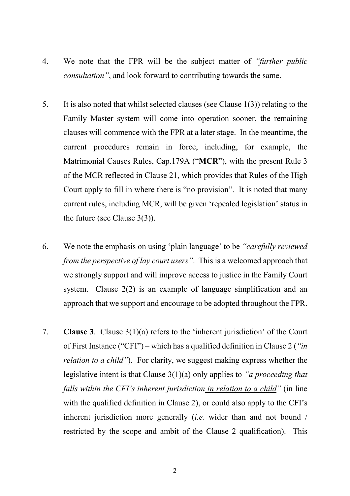- 4. We note that the FPR will be the subject matter of "further public" consultation", and look forward to contributing towards the same.
- 5. It is also noted that whilst selected clauses (see Clause 1(3)) relating to the Family Master system will come into operation sooner, the remaining clauses will commence with the FPR at a later stage. In the meantime, the current procedures remain in force, including, for example, the Matrimonial Causes Rules, Cap.179A ("MCR"), with the present Rule 3 of the MCR reflected in Clause 21, which provides that Rules of the High Court apply to fill in where there is "no provision". It is noted that many current rules, including MCR, will be given 'repealed legislation' status in the future (see Clause 3(3)).
- 6. We note the emphasis on using 'plain language' to be "carefully reviewed from the perspective of lay court users". This is a welcomed approach that we strongly support and will improve access to justice in the Family Court system. Clause 2(2) is an example of language simplification and an approach that we support and encourage to be adopted throughout the FPR.
- 7. Clause 3. Clause 3(1)(a) refers to the 'inherent jurisdiction' of the Court of First Instance ("CFI") – which has a qualified definition in Clause 2 ("in relation to a child"). For clarity, we suggest making express whether the legislative intent is that Clause 3(1)(a) only applies to "a proceeding that falls within the CFI's inherent jurisdiction in relation to a child" (in line with the qualified definition in Clause 2), or could also apply to the CFI's inherent jurisdiction more generally *(i.e.* wider than and not bound / restricted by the scope and ambit of the Clause 2 qualification). This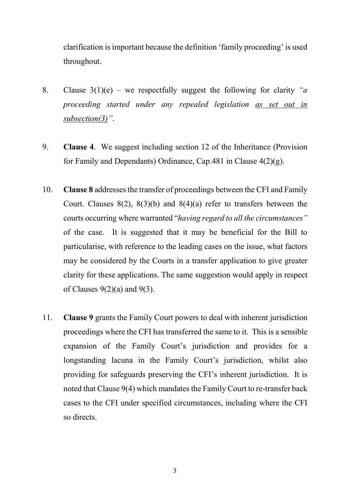clarification is important because the definition 'family proceeding' is used throughout.

- 8. Clause  $3(1)(e)$  we respectfully suggest the following for clarity "*a* proceeding started under any repealed legislation as set out in subsection(3)".
- 9. Clause 4. We suggest including section 12 of the Inheritance (Provision for Family and Dependants) Ordinance, Cap.481 in Clause 4(2)(g).
- 10. Clause 8 addresses the transfer of proceedings between the CFI and Family Court. Clauses  $8(2)$ ,  $8(3)(b)$  and  $8(4)(a)$  refer to transfers between the courts occurring where warranted "having regard to all the circumstances" of the case. It is suggested that it may be beneficial for the Bill to particularise, with reference to the leading cases on the issue, what factors may be considered by the Courts in a transfer application to give greater clarity for these applications. The same suggestion would apply in respect of Clauses  $9(2)(a)$  and  $9(3)$ .
- 11. Clause 9 grants the Family Court powers to deal with inherent jurisdiction proceedings where the CFI has transferred the same to it. This is a sensible expansion of the Family Court's jurisdiction and provides for a longstanding lacuna in the Family Court's jurisdiction, whilst also providing for safeguards preserving the CFI's inherent jurisdiction. It is noted that Clause 9(4) which mandates the Family Court to re-transfer back cases to the CFI under specified circumstances, including where the CFI so directs.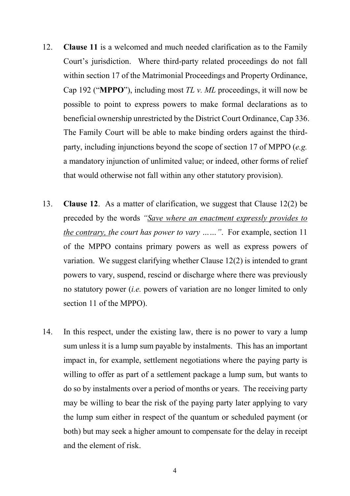- 12. Clause 11 is a welcomed and much needed clarification as to the Family Court's jurisdiction. Where third-party related proceedings do not fall within section 17 of the Matrimonial Proceedings and Property Ordinance, Cap 192 ("MPPO"), including most  $TL$  v. ML proceedings, it will now be possible to point to express powers to make formal declarations as to beneficial ownership unrestricted by the District Court Ordinance, Cap 336. The Family Court will be able to make binding orders against the thirdparty, including injunctions beyond the scope of section 17 of MPPO (e.g. a mandatory injunction of unlimited value; or indeed, other forms of relief that would otherwise not fall within any other statutory provision).
- 13. Clause 12. As a matter of clarification, we suggest that Clause 12(2) be preceded by the words "Save where an enactment expressly provides to the contrary, the court has power to vary ……". For example, section 11 of the MPPO contains primary powers as well as express powers of variation. We suggest clarifying whether Clause 12(2) is intended to grant powers to vary, suspend, rescind or discharge where there was previously no statutory power (i.e. powers of variation are no longer limited to only section 11 of the MPPO).
- 14. In this respect, under the existing law, there is no power to vary a lump sum unless it is a lump sum payable by instalments. This has an important impact in, for example, settlement negotiations where the paying party is willing to offer as part of a settlement package a lump sum, but wants to do so by instalments over a period of months or years. The receiving party may be willing to bear the risk of the paying party later applying to vary the lump sum either in respect of the quantum or scheduled payment (or both) but may seek a higher amount to compensate for the delay in receipt and the element of risk.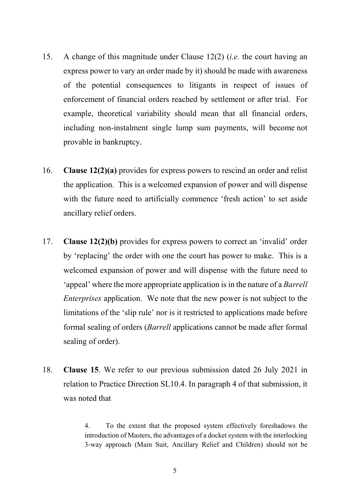- 15. A change of this magnitude under Clause 12(2) (i.e. the court having an express power to vary an order made by it) should be made with awareness of the potential consequences to litigants in respect of issues of enforcement of financial orders reached by settlement or after trial. For example, theoretical variability should mean that all financial orders, including non-instalment single lump sum payments, will become not provable in bankruptcy.
- 16. Clause 12(2)(a) provides for express powers to rescind an order and relist the application. This is a welcomed expansion of power and will dispense with the future need to artificially commence 'fresh action' to set aside ancillary relief orders.
- 17. Clause 12(2)(b) provides for express powers to correct an 'invalid' order by 'replacing' the order with one the court has power to make. This is a welcomed expansion of power and will dispense with the future need to 'appeal' where the more appropriate application is in the nature of a Barrell Enterprises application. We note that the new power is not subject to the limitations of the 'slip rule' nor is it restricted to applications made before formal sealing of orders (Barrell applications cannot be made after formal sealing of order).
- 18. Clause 15. We refer to our previous submission dated 26 July 2021 in relation to Practice Direction SL10.4. In paragraph 4 of that submission, it was noted that

4. To the extent that the proposed system effectively foreshadows the introduction of Masters, the advantages of a docket system with the interlocking 3-way approach (Main Suit, Ancillary Relief and Children) should not be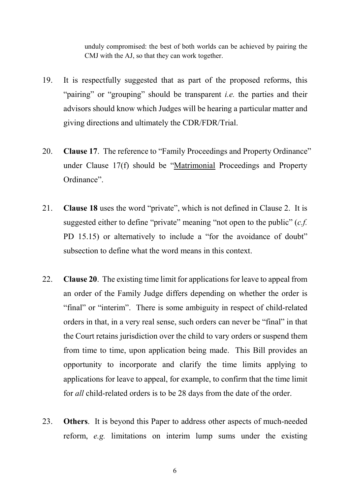unduly compromised: the best of both worlds can be achieved by pairing the CMJ with the AJ, so that they can work together.

- 19. It is respectfully suggested that as part of the proposed reforms, this "pairing" or "grouping" should be transparent *i.e.* the parties and their advisors should know which Judges will be hearing a particular matter and giving directions and ultimately the CDR/FDR/Trial.
- 20. Clause 17. The reference to "Family Proceedings and Property Ordinance" under Clause 17(f) should be "Matrimonial Proceedings and Property Ordinance".
- 21. Clause 18 uses the word "private", which is not defined in Clause 2. It is suggested either to define "private" meaning "not open to the public"  $(c.f.)$ PD 15.15) or alternatively to include a "for the avoidance of doubt" subsection to define what the word means in this context.
- 22. Clause 20. The existing time limit for applications for leave to appeal from an order of the Family Judge differs depending on whether the order is "final" or "interim". There is some ambiguity in respect of child-related orders in that, in a very real sense, such orders can never be "final" in that the Court retains jurisdiction over the child to vary orders or suspend them from time to time, upon application being made. This Bill provides an opportunity to incorporate and clarify the time limits applying to applications for leave to appeal, for example, to confirm that the time limit for all child-related orders is to be 28 days from the date of the order.
- 23. Others. It is beyond this Paper to address other aspects of much-needed reform, e.g. limitations on interim lump sums under the existing